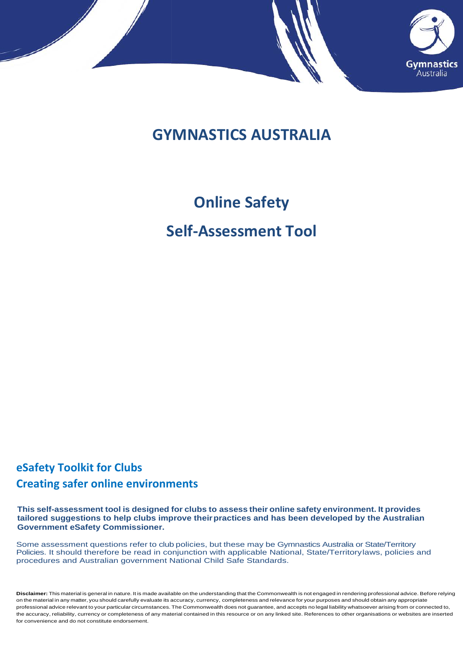

## **GYMNASTICS AUSTRALIA**

## **Online Safety**

## **Self-Assessment Tool**

## **eSafety Toolkit for Clubs Creating safer online environments**

**This self-assessment tool is designed for clubs to assess their online safety environment. It provides tailored suggestions to help clubs improve theirpractices and has been developed by the Australian Government eSafety Commissioner.**

Some assessment questions refer to club policies, but these may be Gymnastics Australia or State/Territory Policies. It should therefore be read in conjunction with applicable National, State/Territorylaws, policies and procedures and Australian government National Child Safe Standards.

**Disclaimer:** This material is general in nature. It is made available on the understanding that the Commonwealth is not engaged in rendering professional advice. Before relying on the material in any matter, you should carefully evaluate its accuracy, currency, completeness and relevance for your purposes and should obtain any appropriate professional advice relevant to your particular circumstances. The Commonwealth does not guarantee, and accepts no legal liability whatsoever arising from or connected to, the accuracy, reliability, currency or completeness of any material contained in this resource or on any linked site. References to other organisations or websites are inserted for convenience and do not constitute endorsement.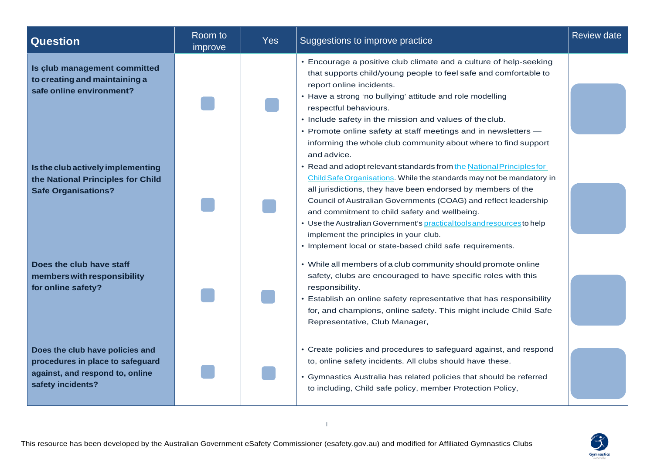| <b>Question</b>                                                                                                             | Room to<br>improve | <b>Yes</b> | Suggestions to improve practice                                                                                                                                                                                                                                                                                                                                                                                                                                                                                     | <b>Review date</b> |
|-----------------------------------------------------------------------------------------------------------------------------|--------------------|------------|---------------------------------------------------------------------------------------------------------------------------------------------------------------------------------------------------------------------------------------------------------------------------------------------------------------------------------------------------------------------------------------------------------------------------------------------------------------------------------------------------------------------|--------------------|
| Is club management committed<br>to creating and maintaining a<br>safe online environment?                                   |                    |            | • Encourage a positive club climate and a culture of help-seeking<br>that supports child/young people to feel safe and comfortable to<br>report online incidents.<br>• Have a strong 'no bullying' attitude and role modelling<br>respectful behaviours.<br>• Include safety in the mission and values of the club.<br>• Promote online safety at staff meetings and in newsletters -<br>informing the whole club community about where to find support<br>and advice.                                              |                    |
| Is the club actively implementing<br>the National Principles for Child<br><b>Safe Organisations?</b>                        |                    |            | • Read and adopt relevant standards from the National Principles for<br>Child Safe Organisations. While the standards may not be mandatory in<br>all jurisdictions, they have been endorsed by members of the<br>Council of Australian Governments (COAG) and reflect leadership<br>and commitment to child safety and wellbeing.<br>• Use the Australian Government's practical tools and resources to help<br>implement the principles in your club.<br>• Implement local or state-based child safe requirements. |                    |
| Does the club have staff<br>members with responsibility<br>for online safety?                                               |                    |            | • While all members of a club community should promote online<br>safety, clubs are encouraged to have specific roles with this<br>responsibility.<br>• Establish an online safety representative that has responsibility<br>for, and champions, online safety. This might include Child Safe<br>Representative, Club Manager,                                                                                                                                                                                       |                    |
| Does the club have policies and<br>procedures in place to safeguard<br>against, and respond to, online<br>safety incidents? |                    |            | • Create policies and procedures to safeguard against, and respond<br>to, online safety incidents. All clubs should have these.<br>• Gymnastics Australia has related policies that should be referred<br>to including, Child safe policy, member Protection Policy,                                                                                                                                                                                                                                                |                    |

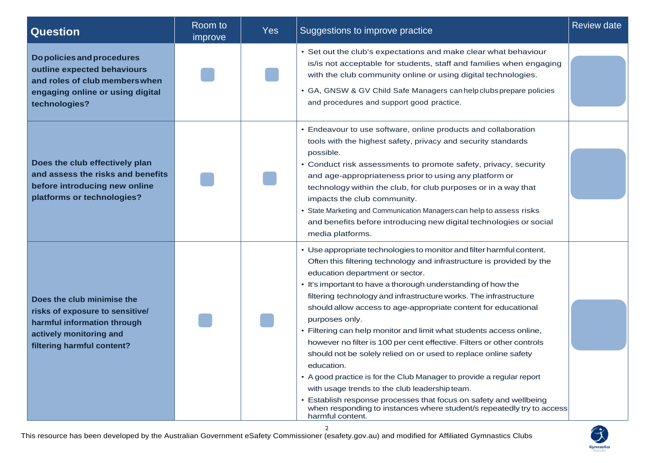| <b>Question</b>                                                                                                                                       | Room to<br>improve | <b>Yes</b> | Suggestions to improve practice                                                                                                                                                                                                                                                                                                                                                                                                                                                                                                                                                                                                                                                                                                                                                                                                                                                                                                         | <b>Review date</b> |
|-------------------------------------------------------------------------------------------------------------------------------------------------------|--------------------|------------|-----------------------------------------------------------------------------------------------------------------------------------------------------------------------------------------------------------------------------------------------------------------------------------------------------------------------------------------------------------------------------------------------------------------------------------------------------------------------------------------------------------------------------------------------------------------------------------------------------------------------------------------------------------------------------------------------------------------------------------------------------------------------------------------------------------------------------------------------------------------------------------------------------------------------------------------|--------------------|
| Do policies and procedures<br>outline expected behaviours<br>and roles of club members when<br>engaging online or using digital<br>technologies?      |                    |            | • Set out the club's expectations and make clear what behaviour<br>is/is not acceptable for students, staff and families when engaging<br>with the club community online or using digital technologies.<br>• GA, GNSW & GV Child Safe Managers can help clubs prepare policies<br>and procedures and support good practice.                                                                                                                                                                                                                                                                                                                                                                                                                                                                                                                                                                                                             |                    |
| Does the club effectively plan<br>and assess the risks and benefits<br>before introducing new online<br>platforms or technologies?                    |                    |            | • Endeavour to use software, online products and collaboration<br>tools with the highest safety, privacy and security standards<br>possible.<br>• Conduct risk assessments to promote safety, privacy, security<br>and age-appropriateness prior to using any platform or<br>technology within the club, for club purposes or in a way that<br>impacts the club community.<br>State Marketing and Communication Managers can help to assess risks<br>and benefits before introducing new digital technologies or social<br>media platforms.                                                                                                                                                                                                                                                                                                                                                                                             |                    |
| Does the club minimise the<br>risks of exposure to sensitive/<br>harmful information through<br>actively monitoring and<br>filtering harmful content? |                    |            | • Use appropriate technologies to monitor and filter harmful content.<br>Often this filtering technology and infrastructure is provided by the<br>education department or sector.<br>• It's important to have a thorough understanding of how the<br>filtering technology and infrastructure works. The infrastructure<br>should allow access to age-appropriate content for educational<br>purposes only.<br>• Filtering can help monitor and limit what students access online,<br>however no filter is 100 per cent effective. Filters or other controls<br>should not be solely relied on or used to replace online safety<br>education.<br>• A good practice is for the Club Manager to provide a regular report<br>with usage trends to the club leadership team.<br>Establish response processes that focus on safety and wellbeing<br>when responding to instances where student/s repeatedly try to access<br>harmful content. |                    |

2

This resource has been developed by the Australian Government eSafety Commissioner (esafety.gov.au) and modified for Affiliated Gymnastics Clubs

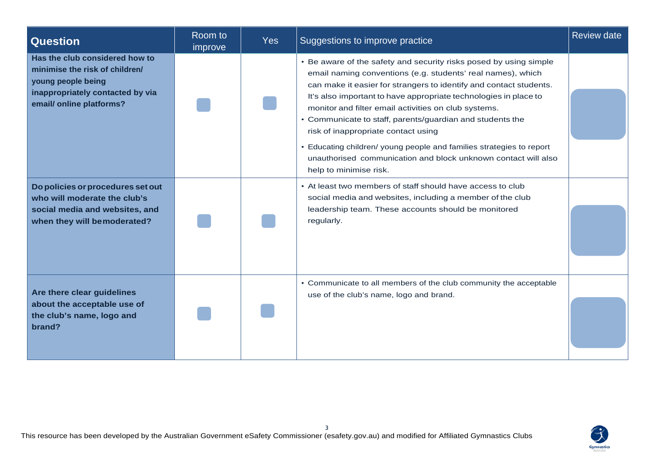| <b>Question</b>                                                                                                                                        | Room to<br>improve | <b>Yes</b> | Suggestions to improve practice                                                                                                                                                                                                                                                                                                                                                                                                                                                                                                                                                                            | <b>Review date</b> |
|--------------------------------------------------------------------------------------------------------------------------------------------------------|--------------------|------------|------------------------------------------------------------------------------------------------------------------------------------------------------------------------------------------------------------------------------------------------------------------------------------------------------------------------------------------------------------------------------------------------------------------------------------------------------------------------------------------------------------------------------------------------------------------------------------------------------------|--------------------|
| Has the club considered how to<br>minimise the risk of children/<br>young people being<br>inappropriately contacted by via<br>email/ online platforms? |                    |            | • Be aware of the safety and security risks posed by using simple<br>email naming conventions (e.g. students' real names), which<br>can make it easier for strangers to identify and contact students.<br>It's also important to have appropriate technologies in place to<br>monitor and filter email activities on club systems.<br>• Communicate to staff, parents/guardian and students the<br>risk of inappropriate contact using<br>• Educating children/ young people and families strategies to report<br>unauthorised communication and block unknown contact will also<br>help to minimise risk. |                    |
| Do policies or procedures set out<br>who will moderate the club's<br>social media and websites, and<br>when they will bemoderated?                     |                    |            | • At least two members of staff should have access to club<br>social media and websites, including a member of the club<br>leadership team. These accounts should be monitored<br>regularly.                                                                                                                                                                                                                                                                                                                                                                                                               |                    |
| Are there clear guidelines<br>about the acceptable use of<br>the club's name, logo and<br>brand?                                                       |                    |            | • Communicate to all members of the club community the acceptable<br>use of the club's name, logo and brand.                                                                                                                                                                                                                                                                                                                                                                                                                                                                                               |                    |

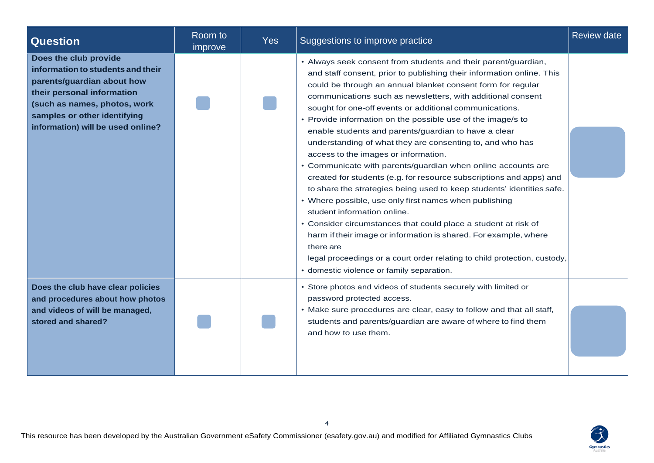| <b>Question</b>                                                                                                                                                                                                             | Room to<br>improve | <b>Yes</b> | Suggestions to improve practice                                                                                                                                                                                                                                                                                                                                                                                                                                                                                                                                                                                                                                                                                                                                                                                                                                                                                                                                                                                                                                                                                                                    | <b>Review date</b> |
|-----------------------------------------------------------------------------------------------------------------------------------------------------------------------------------------------------------------------------|--------------------|------------|----------------------------------------------------------------------------------------------------------------------------------------------------------------------------------------------------------------------------------------------------------------------------------------------------------------------------------------------------------------------------------------------------------------------------------------------------------------------------------------------------------------------------------------------------------------------------------------------------------------------------------------------------------------------------------------------------------------------------------------------------------------------------------------------------------------------------------------------------------------------------------------------------------------------------------------------------------------------------------------------------------------------------------------------------------------------------------------------------------------------------------------------------|--------------------|
| Does the club provide<br>information to students and their<br>parents/guardian about how<br>their personal information<br>(such as names, photos, work<br>samples or other identifying<br>information) will be used online? |                    |            | • Always seek consent from students and their parent/guardian,<br>and staff consent, prior to publishing their information online. This<br>could be through an annual blanket consent form for regular<br>communications such as newsletters, with additional consent<br>sought for one-off events or additional communications.<br>• Provide information on the possible use of the image/s to<br>enable students and parents/guardian to have a clear<br>understanding of what they are consenting to, and who has<br>access to the images or information.<br>• Communicate with parents/guardian when online accounts are<br>created for students (e.g. for resource subscriptions and apps) and<br>to share the strategies being used to keep students' identities safe.<br>• Where possible, use only first names when publishing<br>student information online.<br>• Consider circumstances that could place a student at risk of<br>harm if their image or information is shared. For example, where<br>there are<br>legal proceedings or a court order relating to child protection, custody,<br>• domestic violence or family separation. |                    |
| Does the club have clear policies<br>and procedures about how photos<br>and videos of will be managed,<br>stored and shared?                                                                                                |                    |            | • Store photos and videos of students securely with limited or<br>password protected access.<br>• Make sure procedures are clear, easy to follow and that all staff,<br>students and parents/guardian are aware of where to find them<br>and how to use them.                                                                                                                                                                                                                                                                                                                                                                                                                                                                                                                                                                                                                                                                                                                                                                                                                                                                                      |                    |